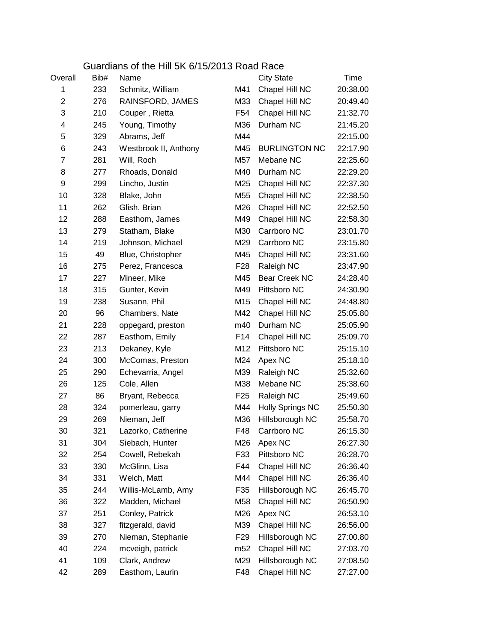|                | Guardians of the Hill 5K 6/15/2013 Road Race |                       |                 |                         |          |  |
|----------------|----------------------------------------------|-----------------------|-----------------|-------------------------|----------|--|
| Overall        | Bib#                                         | Name                  |                 | <b>City State</b>       | Time     |  |
| 1              | 233                                          | Schmitz, William      | M41             | Chapel Hill NC          | 20:38.00 |  |
| $\overline{2}$ | 276                                          | RAINSFORD, JAMES      | M33             | Chapel Hill NC          | 20:49.40 |  |
| 3              | 210                                          | Couper, Rietta        | F54             | Chapel Hill NC          | 21:32.70 |  |
| 4              | 245                                          | Young, Timothy        | M36             | Durham NC               | 21:45.20 |  |
| 5              | 329                                          | Abrams, Jeff          | M44             |                         | 22:15.00 |  |
| 6              | 243                                          | Westbrook II, Anthony | M45             | <b>BURLINGTON NC</b>    | 22:17.90 |  |
| 7              | 281                                          | Will, Roch            | M57             | Mebane NC               | 22:25.60 |  |
| 8              | 277                                          | Rhoads, Donald        | M40             | Durham NC               | 22:29.20 |  |
| 9              | 299                                          | Lincho, Justin        | M25             | Chapel Hill NC          | 22:37.30 |  |
| 10             | 328                                          | Blake, John           | M55             | Chapel Hill NC          | 22:38.50 |  |
| 11             | 262                                          | Glish, Brian          | M26             | Chapel Hill NC          | 22:52.50 |  |
| 12             | 288                                          | Easthom, James        | M49             | Chapel Hill NC          | 22:58.30 |  |
| 13             | 279                                          | Statham, Blake        | M30             | Carrboro NC             | 23:01.70 |  |
| 14             | 219                                          | Johnson, Michael      | M29             | Carrboro NC             | 23:15.80 |  |
| 15             | 49                                           | Blue, Christopher     | M45             | Chapel Hill NC          | 23:31.60 |  |
| 16             | 275                                          | Perez, Francesca      | F <sub>28</sub> | Raleigh NC              | 23:47.90 |  |
| 17             | 227                                          | Mineer, Mike          | M45             | Bear Creek NC           | 24:28.40 |  |
| 18             | 315                                          | Gunter, Kevin         | M49             | Pittsboro NC            | 24:30.90 |  |
| 19             | 238                                          | Susann, Phil          | M15             | Chapel Hill NC          | 24:48.80 |  |
| 20             | 96                                           | Chambers, Nate        | M42             | Chapel Hill NC          | 25:05.80 |  |
| 21             | 228                                          | oppegard, preston     | m40             | Durham NC               | 25:05.90 |  |
| 22             | 287                                          | Easthom, Emily        | F14             | Chapel Hill NC          | 25:09.70 |  |
| 23             | 213                                          | Dekaney, Kyle         | M12             | Pittsboro NC            | 25:15.10 |  |
| 24             | 300                                          | McComas, Preston      | M24             | Apex NC                 | 25:18.10 |  |
| 25             | 290                                          | Echevarria, Angel     | M39             | Raleigh NC              | 25:32.60 |  |
| 26             | 125                                          | Cole, Allen           | M38             | Mebane NC               | 25:38.60 |  |
| 27             | 86                                           | Bryant, Rebecca       | F <sub>25</sub> | Raleigh NC              | 25:49.60 |  |
| 28             | 324                                          | pomerleau, garry      | M44             | <b>Holly Springs NC</b> | 25:50.30 |  |
| 29             | 269                                          | Nieman, Jeff          | M36             | Hillsborough NC         | 25:58.70 |  |
| 30             | 321                                          | Lazorko, Catherine    | F48             | Carrboro NC             | 26:15.30 |  |
| 31             | 304                                          | Siebach, Hunter       | M26             | Apex NC                 | 26:27.30 |  |
| 32             | 254                                          | Cowell, Rebekah       | F33             | Pittsboro NC            | 26:28.70 |  |
| 33             | 330                                          | McGlinn, Lisa         | F44             | Chapel Hill NC          | 26:36.40 |  |
| 34             | 331                                          | Welch, Matt           | M44             | Chapel Hill NC          | 26:36.40 |  |
| 35             | 244                                          | Willis-McLamb, Amy    | F35             | Hillsborough NC         | 26:45.70 |  |
| 36             | 322                                          | Madden, Michael       | M58             | Chapel Hill NC          | 26:50.90 |  |
| 37             | 251                                          | Conley, Patrick       | M26             | Apex NC                 | 26:53.10 |  |
| 38             | 327                                          | fitzgerald, david     | M39             | Chapel Hill NC          | 26:56.00 |  |
| 39             | 270                                          | Nieman, Stephanie     | F <sub>29</sub> | Hillsborough NC         | 27:00.80 |  |
| 40             | 224                                          | mcveigh, patrick      | m <sub>52</sub> | Chapel Hill NC          | 27:03.70 |  |
| 41             | 109                                          | Clark, Andrew         | M29             | Hillsborough NC         | 27:08.50 |  |
| 42             | 289                                          | Easthom, Laurin       | F48             | Chapel Hill NC          | 27:27.00 |  |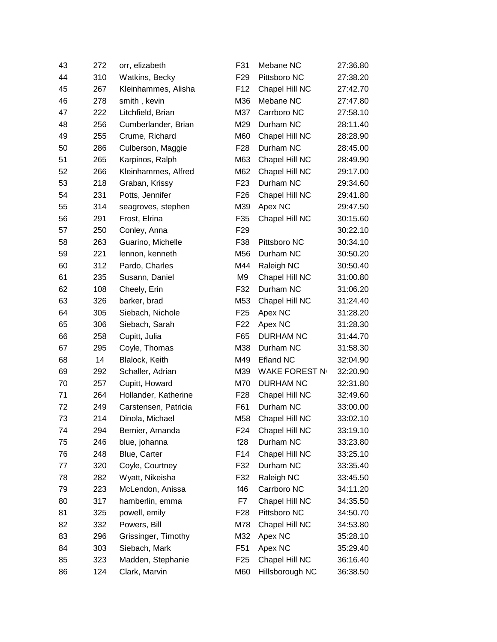| 43 | 272 | orr, elizabeth       | F31             | Mebane NC        | 27:36.80 |
|----|-----|----------------------|-----------------|------------------|----------|
| 44 | 310 | Watkins, Becky       | F <sub>29</sub> | Pittsboro NC     | 27:38.20 |
| 45 | 267 | Kleinhammes, Alisha  | F <sub>12</sub> | Chapel Hill NC   | 27:42.70 |
| 46 | 278 | smith, kevin         | M36             | Mebane NC        | 27:47.80 |
| 47 | 222 | Litchfield, Brian    | M37             | Carrboro NC      | 27:58.10 |
| 48 | 256 | Cumberlander, Brian  | M29             | Durham NC        | 28:11.40 |
| 49 | 255 | Crume, Richard       | M60             | Chapel Hill NC   | 28:28.90 |
| 50 | 286 | Culberson, Maggie    | F <sub>28</sub> | Durham NC        | 28:45.00 |
| 51 | 265 | Karpinos, Ralph      | M63             | Chapel Hill NC   | 28:49.90 |
| 52 | 266 | Kleinhammes, Alfred  | M62             | Chapel Hill NC   | 29:17.00 |
| 53 | 218 | Graban, Krissy       | F <sub>23</sub> | Durham NC        | 29:34.60 |
| 54 | 231 | Potts, Jennifer      | F <sub>26</sub> | Chapel Hill NC   | 29:41.80 |
| 55 | 314 | seagroves, stephen   | M39             | Apex NC          | 29:47.50 |
| 56 | 291 | Frost, Elrina        | F35             | Chapel Hill NC   | 30:15.60 |
| 57 | 250 | Conley, Anna         | F <sub>29</sub> |                  | 30:22.10 |
| 58 | 263 | Guarino, Michelle    | F38             | Pittsboro NC     | 30:34.10 |
| 59 | 221 | lennon, kenneth      | M56             | Durham NC        | 30:50.20 |
| 60 | 312 | Pardo, Charles       | M44             | Raleigh NC       | 30:50.40 |
| 61 | 235 | Susann, Daniel       | M9              | Chapel Hill NC   | 31:00.80 |
| 62 | 108 | Cheely, Erin         | F32             | Durham NC        | 31:06.20 |
| 63 | 326 | barker, brad         | M53             | Chapel Hill NC   | 31:24.40 |
| 64 | 305 | Siebach, Nichole     | F <sub>25</sub> | Apex NC          | 31:28.20 |
| 65 | 306 | Siebach, Sarah       | F <sub>22</sub> | Apex NC          | 31:28.30 |
| 66 | 258 | Cupitt, Julia        | F65             | <b>DURHAM NC</b> | 31:44.70 |
| 67 | 295 | Coyle, Thomas        | M38             | Durham NC        | 31:58.30 |
| 68 | 14  | Blalock, Keith       | M49             | <b>Efland NC</b> | 32:04.90 |
| 69 | 292 | Schaller, Adrian     | M39             | WAKE FOREST N    | 32:20.90 |
| 70 | 257 | Cupitt, Howard       | M70             | <b>DURHAM NC</b> | 32:31.80 |
| 71 | 264 | Hollander, Katherine | F <sub>28</sub> | Chapel Hill NC   | 32:49.60 |
| 72 | 249 | Carstensen, Patricia | F61             | Durham NC        | 33:00.00 |
| 73 | 214 | Dinola, Michael      | M58             | Chapel Hill NC   | 33:02.10 |
| 74 | 294 | Bernier, Amanda      | F24             | Chapel Hill NC   | 33:19.10 |
| 75 | 246 | blue, johanna        | f28             | Durham NC        | 33:23.80 |
| 76 | 248 | Blue, Carter         | F14             | Chapel Hill NC   | 33:25.10 |
| 77 | 320 | Coyle, Courtney      | F32             | Durham NC        | 33:35.40 |
| 78 | 282 | Wyatt, Nikeisha      | F32             | Raleigh NC       | 33:45.50 |
| 79 | 223 | McLendon, Anissa     | f46             | Carrboro NC      | 34:11.20 |
| 80 | 317 | hamberlin, emma      | F7              | Chapel Hill NC   | 34:35.50 |
| 81 | 325 | powell, emily        | F28             | Pittsboro NC     | 34:50.70 |
| 82 | 332 | Powers, Bill         | M78             | Chapel Hill NC   | 34:53.80 |
| 83 | 296 | Grissinger, Timothy  | M32             | Apex NC          | 35:28.10 |
| 84 | 303 | Siebach, Mark        | F <sub>51</sub> | Apex NC          | 35:29.40 |
| 85 | 323 | Madden, Stephanie    | F <sub>25</sub> | Chapel Hill NC   | 36:16.40 |
| 86 | 124 | Clark, Marvin        | M60             | Hillsborough NC  | 36:38.50 |